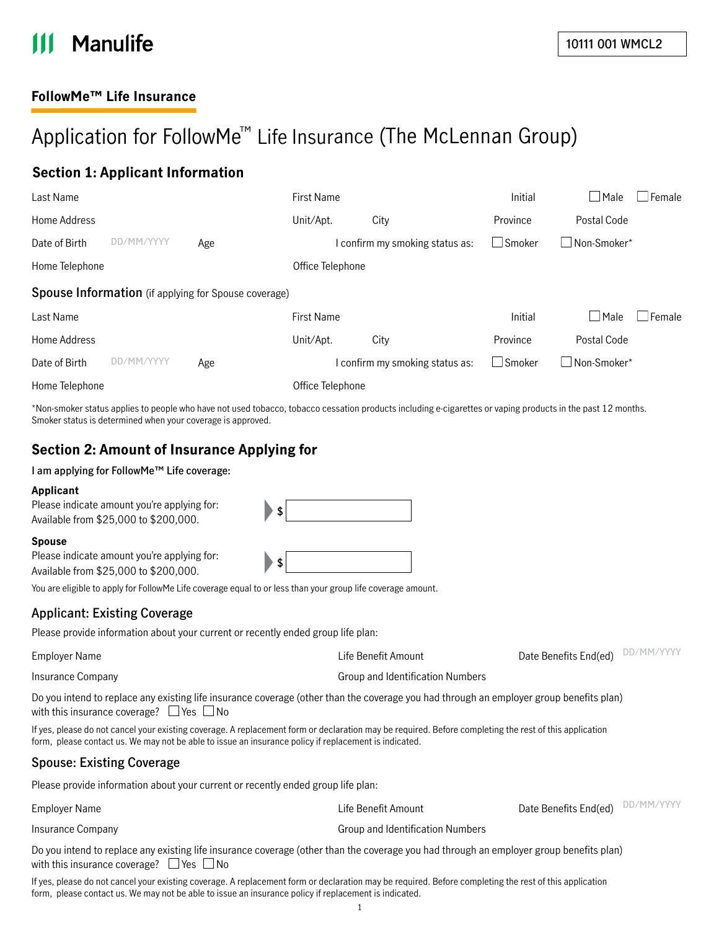# **Manulife**

## **FollowMe™ Life Insurance**

## Application for FollowMe ™ Life Insurance (The McLennan Group)

## **Section 1: Applicant Information**

| Last Name                                            |                |     | <b>First Name</b> |  |                                 | Initial       | $\Box$ Male        | Female |
|------------------------------------------------------|----------------|-----|-------------------|--|---------------------------------|---------------|--------------------|--------|
| Home Address                                         |                |     | Unit/Apt.         |  | City                            | Province      | Postal Code        |        |
| Date of Birth                                        | MM/YYYY<br>DD. | Age |                   |  | I confirm my smoking status as: | $\Box$ Smoker | Non-Smoker*        |        |
| Home Telephone                                       |                |     | Office Telephone  |  |                                 |               |                    |        |
| Spouse Information (if applying for Spouse coverage) |                |     |                   |  |                                 |               |                    |        |
| Last Name                                            |                |     | <b>First Name</b> |  |                                 | Initial       | $\Box$ Male        | Female |
| Home Address                                         |                |     | Unit/Apt.         |  | City                            | Province      | Postal Code        |        |
| Date of Birth                                        | MM/YYYY<br>DD. | Age |                   |  | I confirm my smoking status as: | $\Box$ Smoker | $\Box$ Non-Smoker* |        |
| Home Telephone                                       |                |     | Office Telephone  |  |                                 |               |                    |        |

\*Non-smoker status applies to people who have not used tobacco, tobacco cessation products including e-cigarettes or vaping products in the past 12 months. Smoker status is determined when your coverage is approved.

## **Section 2: Amount of Insurance Applying for**

**I am applying for FollowMe™ Life coverage:**

#### **Applicant**

| Please indicate amount you're applying for:<br>Available from \$25,000 to \$200,000.                        | \$ |
|-------------------------------------------------------------------------------------------------------------|----|
| Spouse                                                                                                      |    |
| Please indicate amount you're applying for:                                                                 | \$ |
| Available from \$25,000 to \$200,000.                                                                       |    |
| You are eligible to apply for FollowMe Life coverage equal to or less than your group life coverage amount. |    |

## **Applicant: Existing Coverage**

Please provide information about your current or recently ended group life plan:

| Date Benefits End(ed) |
|-----------------------|
|                       |

**DD/MM/YYYY**

Insurance Company Group and Identification Numbers

Do you intend to replace any existing life insurance coverage (other than the coverage you had through an employer group benefits plan) with this insurance coverage?  $\Box$  Yes  $\Box$  No

If yes, please do not cancel your existing coverage. A replacement form or declaration may be required. Before completing the rest of this application form, please contact us. We may not be able to issue an insurance policy if replacement is indicated.

#### **Spouse: Existing Coverage**

Please provide information about your current or recently ended group life plan:

Employer Name Life Benefit Amount Date Benefits End(ed) **DD/MM/YYYY**Insurance Company Group and Identification Numbers

Do you intend to replace any existing life insurance coverage (other than the coverage you had through an employer group benefits plan) with this insurance coverage?  $\Box$  Yes  $\Box$  No

If yes, please do not cancel your existing coverage. A replacement form or declaration may be required. Before completing the rest of this application form, please contact us. We may not be able to issue an insurance policy if replacement is indicated.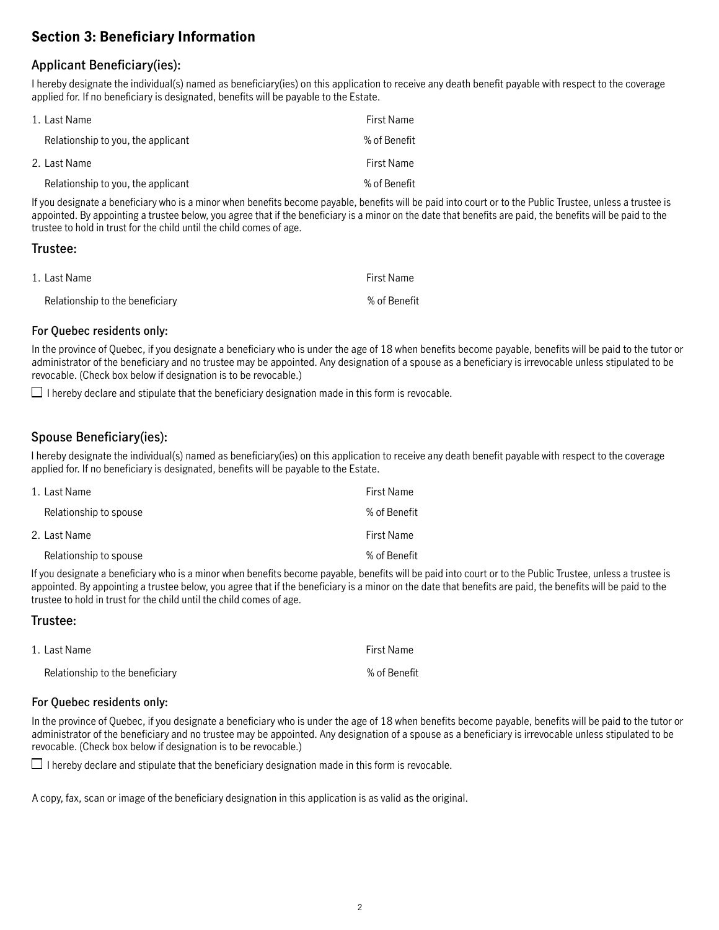## **Section 3: Beneficiary Information**

## **Applicant Beneficiary(ies):**

I hereby designate the individual(s) named as beneficiary(ies) on this application to receive any death benefit payable with respect to the coverage applied for. If no beneficiary is designated, benefits will be payable to the Estate.

| 1. Last Name                       | First Name   |
|------------------------------------|--------------|
| Relationship to you, the applicant | % of Benefit |
| 2. Last Name                       | First Name   |
| Relationship to you, the applicant | % of Benefit |

If you designate a beneficiary who is a minor when benefits become payable, benefits will be paid into court or to the Public Trustee, unless a trustee is appointed. By appointing a trustee below, you agree that if the beneficiary is a minor on the date that benefits are paid, the benefits will be paid to the trustee to hold in trust for the child until the child comes of age.

#### **Trustee:**

| 1. Last Name                    | First Name   |
|---------------------------------|--------------|
| Relationship to the beneficiary | % of Benefit |

#### **For Quebec residents only:**

In the province of Quebec, if you designate a beneficiary who is under the age of 18 when benefits become payable, benefits will be paid to the tutor or administrator of the beneficiary and no trustee may be appointed. Any designation of a spouse as a beneficiary is irrevocable unless stipulated to be revocable. (Check box below if designation is to be revocable.)

 $\Box$  I hereby declare and stipulate that the beneficiary designation made in this form is revocable.

## **Spouse Beneficiary(ies):**

I hereby designate the individual(s) named as beneficiary(ies) on this application to receive any death benefit payable with respect to the coverage applied for. If no beneficiary is designated, benefits will be payable to the Estate.

| 1. Last Name           | First Name   |
|------------------------|--------------|
| Relationship to spouse | % of Benefit |
| 2. Last Name           | First Name   |
| Relationship to spouse | % of Benefit |

If you designate a beneficiary who is a minor when benefits become payable, benefits will be paid into court or to the Public Trustee, unless a trustee is appointed. By appointing a trustee below, you agree that if the beneficiary is a minor on the date that benefits are paid, the benefits will be paid to the trustee to hold in trust for the child until the child comes of age.

#### **Trustee:**

| 1. Last Name                    | First Name   |
|---------------------------------|--------------|
| Relationship to the beneficiary | % of Benefit |

#### **For Quebec residents only:**

In the province of Quebec, if you designate a beneficiary who is under the age of 18 when benefits become payable, benefits will be paid to the tutor or administrator of the beneficiary and no trustee may be appointed. Any designation of a spouse as a beneficiary is irrevocable unless stipulated to be revocable. (Check box below if designation is to be revocable.)

 $\Box$  I hereby declare and stipulate that the beneficiary designation made in this form is revocable.

A copy, fax, scan or image of the beneficiary designation in this application is as valid as the original.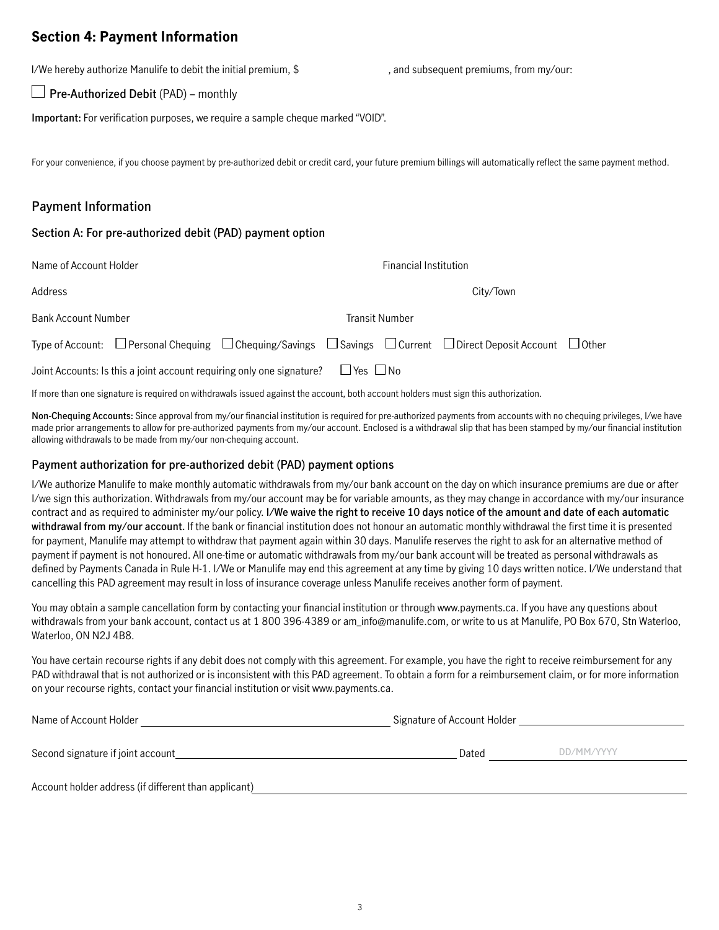## **Section 4: Payment Information**

I/We hereby authorize Manulife to debit the initial premium, \$ , and subsequent premiums, from my/our:

**Pre-Authorized Debit** (PAD) – monthly

**Important:** For verification purposes, we require a sample cheque marked "VOID".

For your convenience, if you choose payment by pre-authorized debit or credit card, your future premium billings will automatically reflect the same payment method.

## **Payment Information**

#### **Section A: For pre-authorized debit (PAD) payment option**

| Name of Account Holder                                                                                                                     | <b>Financial Institution</b> |                       |           |  |
|--------------------------------------------------------------------------------------------------------------------------------------------|------------------------------|-----------------------|-----------|--|
| Address                                                                                                                                    |                              |                       | City/Town |  |
| <b>Bank Account Number</b>                                                                                                                 |                              | <b>Transit Number</b> |           |  |
| Type of Account: $\Box$ Personal Chequing $\Box$ Chequing/Savings $\Box$ Savings $\Box$ Current $\Box$ Direct Deposit Account $\Box$ Other |                              |                       |           |  |
| Joint Accounts: Is this a joint account requiring only one signature?                                                                      | $\Box$ Yes $\Box$ No         |                       |           |  |

If more than one signature is required on withdrawals issued against the account, both account holders must sign this authorization.

**Non-Chequing Accounts:** Since approval from my/our financial institution is required for pre-authorized payments from accounts with no chequing privileges, I/we have made prior arrangements to allow for pre-authorized payments from my/our account. Enclosed is a withdrawal slip that has been stamped by my/our financial institution allowing withdrawals to be made from my/our non-chequing account.

#### **Payment authorization for pre-authorized debit (PAD) payment options**

I/We authorize Manulife to make monthly automatic withdrawals from my/our bank account on the day on which insurance premiums are due or after I/we sign this authorization. Withdrawals from my/our account may be for variable amounts, as they may change in accordance with my/our insurance contract and as required to administer my/our policy. **I/We waive the right to receive 10 days notice of the amount and date of each automatic withdrawal from my/our account.** If the bank or financial institution does not honour an automatic monthly withdrawal the first time it is presented for payment, Manulife may attempt to withdraw that payment again within 30 days. Manulife reserves the right to ask for an alternative method of payment if payment is not honoured. All one-time or automatic withdrawals from my/our bank account will be treated as personal withdrawals as defined by Payments Canada in Rule H-1. I/We or Manulife may end this agreement at any time by giving 10 days written notice. I/We understand that cancelling this PAD agreement may result in loss of insurance coverage unless Manulife receives another form of payment.

You may obtain a sample cancellation form by contacting your financial institution or through [www.payments.ca.](http://www.payments.ca) If you have any questions about withdrawals from your bank account, contact us at 1800 396-4389 or am\_info@manulife.com, or write to us at Manulife, PO Box 670, Stn Waterloo, Waterloo, ON N2J 4B8.

You have certain recourse rights if any debit does not comply with this agreement. For example, you have the right to receive reimbursement for any PAD withdrawal that is not authorized or is inconsistent with this PAD agreement. To obtain a form for a reimbursement claim, or for more information on your recourse rights, contact your financial institution or visit [www.payments.ca.](http://www.payments.ca)

| Name of Account Holder                               | Signature of Account Holder |            |  |
|------------------------------------------------------|-----------------------------|------------|--|
| Second signature if joint account                    | Dated                       | DD/MM/YYYY |  |
| Account holder address (if different than applicant) |                             |            |  |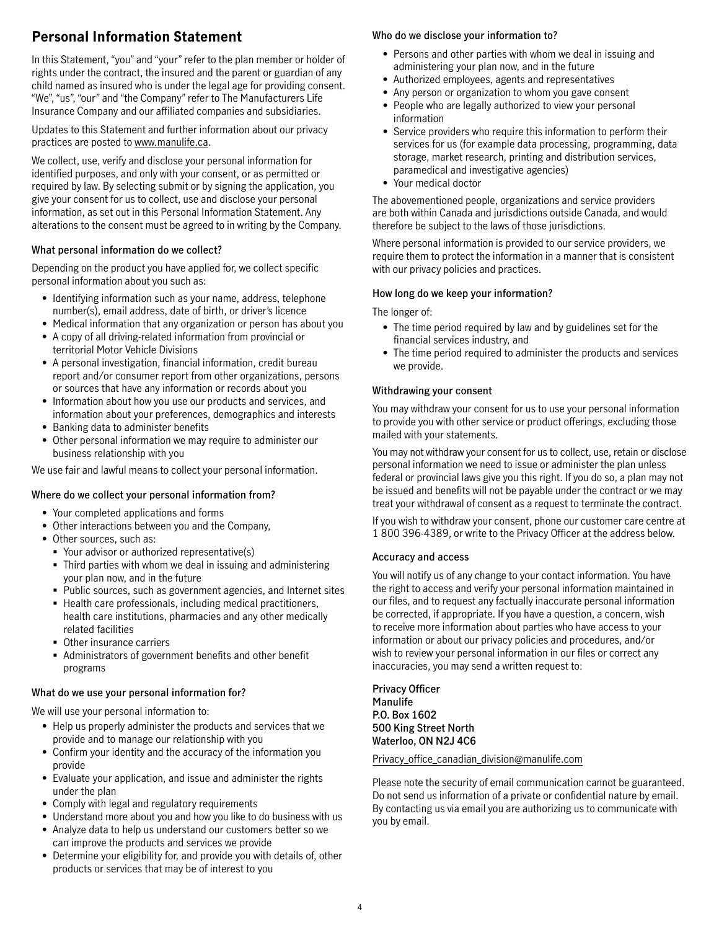## **Personal Information Statement**

In this Statement, "you" and "your" refer to the plan member or holder of rights under the contract, the insured and the parent or guardian of any child named as insured who is under the legal age for providing consent. "We", "us", "our" and "the Company" refer to The Manufacturers Life Insurance Company and our affiliated companies and subsidiaries.

Updates to this Statement and further information about our privacy practices are posted to [www.manulife.ca](http://www.manulife.ca).

We collect, use, verify and disclose your personal information for identified purposes, and only with your consent, or as permitted or required by law. By selecting submit or by signing the application, you give your consent for us to collect, use and disclose your personal information, as set out in this Personal Information Statement. Any alterations to the consent must be agreed to in writing by the Company.

#### **What personal information do we collect?**

Depending on the product you have applied for, we collect specific personal information about you such as:

- Identifying information such as your name, address, telephone number(s), email address, date of birth, or driver's licence
- Medical information that any organization or person has about you
- A copy of all driving-related information from provincial or territorial Motor Vehicle Divisions
- A personal investigation, financial information, credit bureau report and/or consumer report from other organizations, persons or sources that have any information or records about you
- Information about how you use our products and services, and information about your preferences, demographics and interests
- Banking data to administer benefits
- Other personal information we may require to administer our business relationship with you

We use fair and lawful means to collect your personal information.

#### **Where do we collect your personal information from?**

- Your completed applications and forms
- Other interactions between you and the Company,
- Other sources, such as:
	- Your advisor or authorized representative(s)
	- Third parties with whom we deal in issuing and administering your plan now, and in the future
	- Public sources, such as government agencies, and Internet sites
	- Health care professionals, including medical practitioners, health care institutions, pharmacies and any other medically related facilities
	- Other insurance carriers
	- Administrators of government benefits and other benefit programs

#### **What do we use your personal information for?**

We will use your personal information to:

- Help us properly administer the products and services that we provide and to manage our relationship with you
- Confirm your identity and the accuracy of the information you provide
- Evaluate your application, and issue and administer the rights under the plan
- Comply with legal and regulatory requirements
- Understand more about you and how you like to do business with us
- Analyze data to help us understand our customers better so we can improve the products and services we provide
- Determine your eligibility for, and provide you with details of, other products or services that may be of interest to you

## **Who do we disclose your information to?**

- Persons and other parties with whom we deal in issuing and administering your plan now, and in the future
- Authorized employees, agents and representatives
- Any person or organization to whom you gave consent
- People who are legally authorized to view your personal information
- Service providers who require this information to perform their services for us (for example data processing, programming, data storage, market research, printing and distribution services, paramedical and investigative agencies)
- Your medical doctor

The abovementioned people, organizations and service providers are both within Canada and jurisdictions outside Canada, and would therefore be subject to the laws of those jurisdictions.

Where personal information is provided to our service providers, we require them to protect the information in a manner that is consistent with our privacy policies and practices.

#### **How long do we keep your information?**

#### The longer of:

- The time period required by law and by guidelines set for the financial services industry, and
- The time period required to administer the products and services we provide.

#### **Withdrawing your consent**

You may withdraw your consent for us to use your personal information to provide you with other service or product offerings, excluding those mailed with your statements.

You may not withdraw your consent for us to collect, use, retain or disclose personal information we need to issue or administer the plan unless federal or provincial laws give you this right. If you do so, a plan may not be issued and benefits will not be payable under the contract or we may treat your withdrawal of consent as a request to terminate the contract.

If you wish to withdraw your consent, phone our customer care centre at 1 800 396-4389, or write to the Privacy Officer at the address below.

#### **Accuracy and access**

You will notify us of any change to your contact information. You have the right to access and verify your personal information maintained in our files, and to request any factually inaccurate personal information be corrected, if appropriate. If you have a question, a concern, wish to receive more information about parties who have access to your information or about our privacy policies and procedures, and/or wish to review your personal information in our files or correct any inaccuracies, you may send a written request to:

**Privacy Officer Manulife P.O. Box 1602 500 King Street North Waterloo, ON N2J 4C6**

#### Privacy office canadian division@manulife.com

Please note the security of email communication cannot be guaranteed. Do not send us information of a private or confidential nature by email. By contacting us via email you are authorizing us to communicate with you by email.